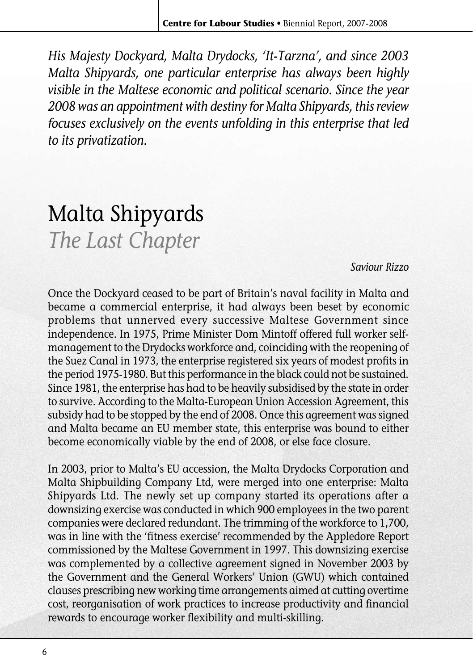*His Majesty Dockyard, Malta Drydocks, 'It-Tarzna', and since 2003 Malta Shipyards, one particular enterprise has always been highly visible in the Maltese economic and political scenario. Since the year 2008 was an appointment with destiny for Malta Shipyards, this review focuses exclusively on the events unfolding in this enterprise that led to its privatization.*

## Malta Shipyards *The Last Chapter*

## *Saviour Rizzo*

Once the Dockyard ceased to be part of Britain's naval facility in Malta and became a commercial enterprise, it had always been beset by economic problems that unnerved every successive Maltese Government since independence. In 1975, Prime Minister Dom Mintoff offered full worker selfmanagement to the Drydocks workforce and, coinciding with the reopening of the Suez Canal in 1973, the enterprise registered six years of modest profits in the period 1975-1980. But this performance in the black could not be sustained. Since 1981, the enterprise has had to be heavily subsidised by the state in order to survive. According to the Malta-European Union Accession Agreement, this subsidy had to be stopped by the end of 2008. Once this agreement was signed and Malta became an EU member state, this enterprise was bound to either become economically viable by the end of 2008, or else face closure.

In 2003, prior to Malta's EU accession, the Malta Drydocks Corporation and Malta Shipbuilding Company Ltd, were merged into one enterprise: Malta Shipyards Ltd. The newly set up company started its operations after a downsizing exercise was conducted in which 900 employees in the two parent companies were declared redundant. The trimming of the workforce to 1,700, was in line with the 'fitness exercise' recommended by the Appledore Report commissioned by the Maltese Government in 1997. This downsizing exercise was complemented by a collective agreement signed in November 2003 by the Government and the General Workers' Union (GWU) which contained clauses prescribing new working time arrangements aimed at cutting overtime cost, reorganisation of work practices to increase productivity and financial rewards to encourage worker flexibility and multi-skilling.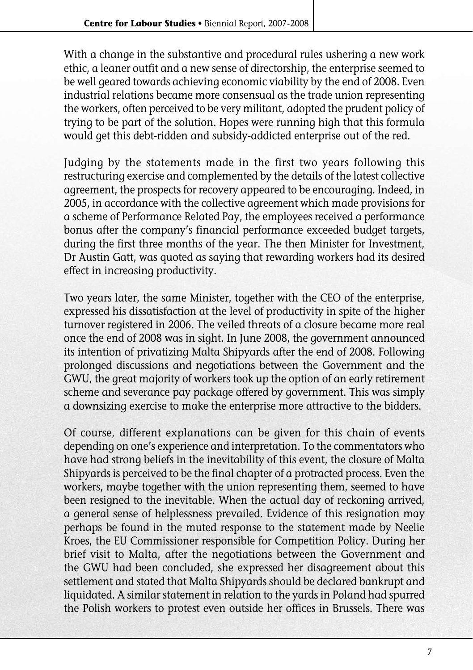With a change in the substantive and procedural rules ushering a new work ethic, a leaner outfit and a new sense of directorship, the enterprise seemed to be well geared towards achieving economic viability by the end of 2008. Even industrial relations became more consensual as the trade union representing the workers, often perceived to be very militant, adopted the prudent policy of trying to be part of the solution. Hopes were running high that this formula would get this debt-ridden and subsidy-addicted enterprise out of the red.

Judging by the statements made in the first two years following this restructuring exercise and complemented by the details of the latest collective agreement, the prospects for recovery appeared to be encouraging. Indeed, in 2005, in accordance with the collective agreement which made provisions for a scheme of Performance Related Pay, the employees received a performance bonus after the company's financial performance exceeded budget targets, during the first three months of the year. The then Minister for Investment, Dr Austin Gatt, was quoted as saying that rewarding workers had its desired effect in increasing productivity.

Two years later, the same Minister, together with the CEO of the enterprise, expressed his dissatisfaction at the level of productivity in spite of the higher turnover registered in 2006. The veiled threats of a closure became more real once the end of 2008 was in sight. In June 2008, the government announced its intention of privatizing Malta Shipyards after the end of 2008. Following prolonged discussions and negotiations between the Government and the GWU, the great majority of workers took up the option of an early retirement scheme and severance pay package offered by government. This was simply a downsizing exercise to make the enterprise more attractive to the bidders.

Of course, different explanations can be given for this chain of events depending on one's experience and interpretation. To the commentators who have had strong beliefs in the inevitability of this event, the closure of Malta Shipyards is perceived to be the final chapter of a protracted process. Even the workers, maybe together with the union representing them, seemed to have been resigned to the inevitable. When the actual day of reckoning arrived. a general sense of helplessness prevailed. Evidence of this resignation may perhaps be found in the muted response to the statement made by Neelie Kroes, the EU Commissioner responsible for Competition Policy. During her brief visit to Malta, after the negotiations between the Government and the GWU had been concluded, she expressed her disagreement about this settlement and stated that Malta Shipyards should be declared bankrupt and liquidated. A similar statement in relation to the yards in Poland had spurred the Polish workers to protest even outside her offices in Brussels. There was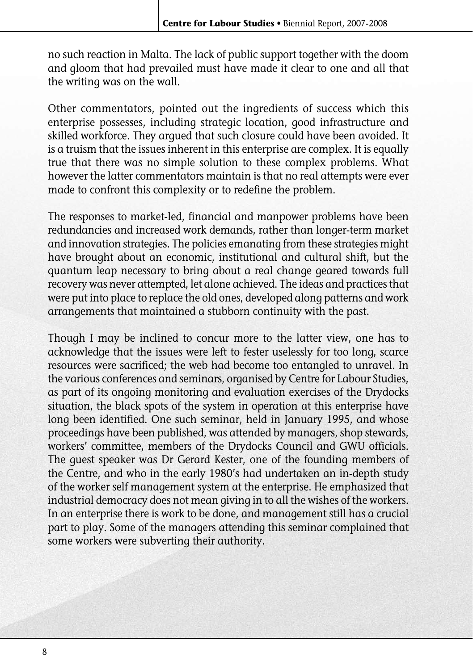no such reaction in Malta. The lack of public support together with the doom and gloom that had prevailed must have made it clear to one and all that the writing was on the wall.

Other commentators, pointed out the ingredients of success which this enterprise possesses, including strategic location, good infrastructure and skilled workforce. They argued that such closure could have been avoided. It is a truism that the issues inherent in this enterprise are complex. It is equally true that there was no simple solution to these complex problems. What however the latter commentators maintain is that no real attempts were ever made to confront this complexity or to redefine the problem.

The responses to market-led, financial and manpower problems have been redundancies and increased work demands, rather than longer-term market and innovation strategies. The policies emanating from these strategies might have brought about an economic, institutional and cultural shift, but the quantum leap necessary to bring about a real change geared towards full recovery was never attempted, let alone achieved. The ideas and practices that were put into place to replace the old ones, developed along patterns and work arrangements that maintained a stubborn continuity with the past.

Though I may be inclined to concur more to the latter view, one has to acknowledge that the issues were left to fester uselessly for too long, scarce resources were sacrificed; the web had become too entangled to unravel. In the various conferences and seminars, organised by Centre for Labour Studies, as part of its ongoing monitoring and evaluation exercises of the Drydocks situation, the black spots of the system in operation at this enterprise have long been identified. One such seminar, held in January 1995, and whose proceedings have been published, was attended by managers, shop stewards, workers' committee, members of the Drydocks Council and GWU officials. The guest speaker was Dr Gerard Kester, one of the founding members of the Centre, and who in the early 1980's had undertaken an in-depth study of the worker self management system at the enterprise. He emphasized that industrial democracy does not mean giving in to all the wishes of the workers. In an enterprise there is work to be done, and management still has a crucial part to play. Some of the managers attending this seminar complained that some workers were subverting their authority.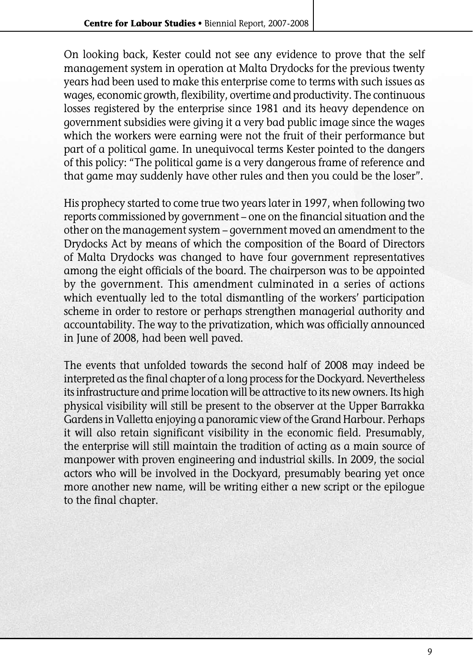On looking back, Kester could not see any evidence to prove that the self management system in operation at Malta Drydocks for the previous twenty years had been used to make this enterprise come to terms with such issues as wages, economic growth, flexibility, overtime and productivity. The continuous losses registered by the enterprise since 1981 and its heavy dependence on government subsidies were giving it a very bad public image since the wages which the workers were earning were not the fruit of their performance but part of a political game. In unequivocal terms Kester pointed to the dangers of this policy: "The political game is a very dangerous frame of reference and that game may suddenly have other rules and then you could be the loser".

His prophecy started to come true two years later in 1997, when following two reports commissioned by government – one on the financial situation and the other on the management system – government moved an amendment to the Drydocks Act by means of which the composition of the Board of Directors of Malta Drydocks was changed to have four government representatives among the eight officials of the board. The chairperson was to be appointed by the government. This amendment culminated in a series of actions which eventually led to the total dismantling of the workers' participation scheme in order to restore or perhaps strengthen managerial authority and accountability. The way to the privatization, which was officially announced in June of 2008, had been well paved.

The events that unfolded towards the second half of 2008 may indeed be interpreted as the final chapter of a long process for the Dockyard. Nevertheless its infrastructure and prime location will be attractive to its new owners. Its high physical visibility will still be present to the observer at the Upper Barrakka Gardens in Valletta enjoying a panoramic view of the Grand Harbour. Perhaps it will also retain significant visibility in the economic field. Presumably, the enterprise will still maintain the tradition of acting as a main source of manpower with proven engineering and industrial skills. In 2009, the social actors who will be involved in the Dockyard, presumably bearing yet once more another new name, will be writing either a new script or the epilogue to the final chapter.